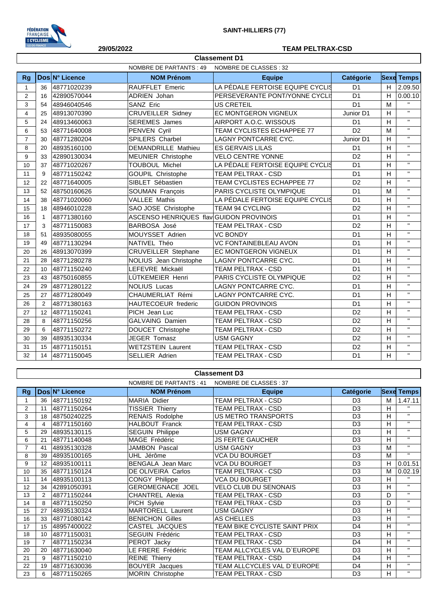

## **29/05/2022 TEAM PELTRAX-CSD**

|                | <b>NOMBRE DE PARTANTS: 49</b><br>NOMBRE DE CLASSES : 32 |                |                                         |                                  |                |   |                    |
|----------------|---------------------------------------------------------|----------------|-----------------------------------------|----------------------------------|----------------|---|--------------------|
| <b>Rg</b>      |                                                         | Dos N° Licence | <b>NOM Prénom</b>                       | <b>Equipe</b>                    | Catégorie      |   | <b>Sexe Temps</b>  |
| $\mathbf{1}$   | 36                                                      | 48771020239    | <b>RAUFFLET Emeric</b>                  | LA PÉDALE FERTOISE EQUIPE CYCLIS | D <sub>1</sub> | H | 2.09.50            |
| $\overline{2}$ | 16                                                      | 42890570044    | <b>ADRIEN Johan</b>                     | PERSEVERANTE PONT/YONNE CYCLI    | D <sub>1</sub> | H | 0.00.10            |
| 3              | 54                                                      | 48946040546    | SANZ Eric                               | <b>US CRETEIL</b>                | D <sub>1</sub> | M | $\mathbf{H}$       |
| $\overline{4}$ | 25                                                      | 48913070390    | <b>CRUVEILLER Sidney</b>                | EC MONTGERON VIGNEUX             | Junior D1      | H | $\mathbf{H}$       |
| 5              | 24                                                      | 48913460063    | <b>SEREMES</b> James                    | AIRPORT A.O.C. WISSOUS           | D <sub>1</sub> | H | $\mathbf{H}$       |
| 6              | 53                                                      | 48771640008    | PENVEN Cyril                            | TEAM CYCLISTES ECHAPPEE 77       | D <sub>2</sub> | M | $\mathbf{H}$       |
| $\overline{7}$ | 30                                                      | 48771280204    | <b>SPILERS Charbel</b>                  | <b>LAGNY PONTCARRE CYC.</b>      | Junior D1      | H | $\mathbf{H}$       |
| 8              | 20                                                      | 48935160100    | <b>DEMANDRILLE Mathieu</b>              | <b>ES GERVAIS LILAS</b>          | D <sub>1</sub> | H | $\mathbf{H}$       |
| 9              | 33                                                      | 42890130034    | <b>MEUNIER Christophe</b>               | <b>VELO CENTRE YONNE</b>         | D <sub>2</sub> | H | $\mathbf{H}$       |
| 10             | 37                                                      | 48771020267    | <b>TOUBOUL Michel</b>                   | LA PÉDALE FERTOISE EQUIPE CYCLIS | D <sub>1</sub> | H | $\bar{\mathbf{H}}$ |
| 11             | 9                                                       | 48771150242    | <b>GOUPIL Christophe</b>                | TEAM PELTRAX - CSD               | D <sub>1</sub> | H | $\bar{\mathbf{H}}$ |
| 12             | 22                                                      | 48771640005    | SIBLET Sébastien                        | TEAM CYCLISTES ECHAPPEE 77       | D <sub>2</sub> | H | $\mathbf{H}$       |
| 13             | 52                                                      | 48750160626    | <b>SOUMAN François</b>                  | PARIS CYCLISTE OLYMPIQUE         | D <sub>1</sub> | M | $\bar{\mathbf{H}}$ |
| 14             | 38                                                      | 48771020060    | <b>VALLEE Mathis</b>                    | LA PÉDALE FERTOISE EQUIPE CYCLIS | D <sub>1</sub> | H | $\mathbf{H}$       |
| 15             | 18                                                      | 48946010228    | SAO JOSE Christophe                     | <b>TEAM 94 CYCLING</b>           | D <sub>2</sub> | H | $\mathbf{H}$       |
| 16             | $\mathbf{1}$                                            | 48771380160    | ASCENSO HENRIQUES flav GUIDON PROVINOIS |                                  | D <sub>1</sub> | H | $\mathbf{H}$       |
| 17             | 3                                                       | 48771150083    | BARBOSA José                            | TEAM PELTRAX - CSD               | D <sub>2</sub> | H | $\mathbf{H}$       |
| 18             | 51                                                      | 48935080055    | MOUYSSET Adrien                         | <b>VC BONDY</b>                  | D <sub>1</sub> | H | $\mathbf{H}$       |
| 19             | 49                                                      | 48771130294    | NATIVEL Théo                            | <b>VC FONTAINEBLEAU AVON</b>     | D <sub>1</sub> | H | $\mathbf{H}$       |
| 20             | 26                                                      | 48913070399    | <b>CRUVEILLER Stephane</b>              | EC MONTGERON VIGNEUX             | D <sub>1</sub> | H | $\mathbf{H}$       |
| 21             | 28                                                      | 48771280278    | NOLIUS Jean Christophe                  | <b>LAGNY PONTCARRE CYC.</b>      | D <sub>1</sub> | H | $\bar{\mathbf{H}}$ |
| 22             | 10                                                      | 48771150240    | LEFEVRE Mickaël                         | <b>TEAM PELTRAX - CSD</b>        | D <sub>1</sub> | H | $\bar{\mathbf{H}}$ |
| 23             | 43                                                      | 48750160855    | LÜTKEMEIER Henri                        | PARIS CYCLISTE OLYMPIQUE         | D <sub>2</sub> | H | $\mathbf{H}$       |
| 24             | 29                                                      | 48771280122    | <b>NOLIUS Lucas</b>                     | <b>LAGNY PONTCARRE CYC.</b>      | D <sub>1</sub> | H | $\mathbf{H}$       |
| 25             | 27                                                      | 48771280049    | CHAUMERLIAT Rémi                        | LAGNY PONTCARRE CYC.             | D <sub>1</sub> | H | $\mathbf{H}$       |
| 26             | 2                                                       | 48771380163    | HAUTECOEUR frederic                     | <b>GUIDON PROVINOIS</b>          | D <sub>1</sub> | H | $\mathbf{H}$       |
| 27             | 12                                                      | 48771150241    | PICH Jean Luc                           | TEAM PELTRAX - CSD               | D <sub>2</sub> | H | $\mathbf{H}$       |
| 28             | 8                                                       | 48771150256    | GALVAING Damien                         | <b>TEAM PELTRAX - CSD</b>        | D <sub>2</sub> | H | $\mathbf{H}$       |
| 29             | 6                                                       | 48771150272    | DOUCET Christophe                       | TEAM PELTRAX - CSD               | D <sub>2</sub> | H | $\mathbf{H}$       |
| 30             | 39                                                      | 48935130334    | <b>JEGER Tomasz</b>                     | <b>USM GAGNY</b>                 | D <sub>2</sub> | H | $\mathbf{H}$       |
| 31             | 15                                                      | 48771150151    | <b>WETZSTEIN Laurent</b>                | <b>TEAM PELTRAX - CSD</b>        | D <sub>2</sub> | H | $\mathbf{H}$       |
| 32             | 14                                                      | 48771150045    | <b>SELLIER Adrien</b>                   | <b>TEAM PELTRAX - CSD</b>        | D <sub>1</sub> | H | $\bar{\mathbf{H}}$ |

**Classement D1**

## **Classement D3**

|                |                |                | NOMBRE DE PARTANTS : 41  | NOMBRE DE CLASSES: 37         |                |   |                   |
|----------------|----------------|----------------|--------------------------|-------------------------------|----------------|---|-------------------|
| <b>Rg</b>      |                | Dos N° Licence | <b>NOM Prénom</b>        | <b>Equipe</b>                 | Catégorie      |   | <b>Sexe Temps</b> |
|                | 36             | 48771150192    | MARIA Didier             | TEAM PELTRAX - CSD            | D <sub>3</sub> | М | 1.47.11           |
| $\overline{2}$ | 11             | 48771150264    | <b>TISSIER Thierry</b>   | <b>TEAM PELTRAX - CSD</b>     | D <sub>3</sub> | H | $\mathbf{H}$      |
| 3              | 18             | 48750240225    | <b>RENAIS Rodolphe</b>   | US METRO TRANSPORTS           | D <sub>3</sub> | H | $\mathbf{H}$      |
| 4              | 4              | 48771150160    | <b>HALBOUT Franck</b>    | TEAM PELTRAX - CSD            | D <sub>3</sub> | H | $\mathbf{H}$      |
| 5              | 29             | 48935130115    | <b>SEGUIN Philippe</b>   | USM GAGNY                     | D <sub>3</sub> | H | $\mathbf{H}$      |
| 6              | 21             | 48771140048    | MAGE Frédéric            | <b>JS FERTE GAUCHER</b>       | D <sub>3</sub> | H | $\mathbf{H}$      |
|                | 41             | 48935130328    | <b>JAMBON Pascal</b>     | USM GAGNY                     | D <sub>3</sub> | M | $\mathbf{H}$      |
| 8              | 39             | 48935100165    | UHL Jérôme               | <b>VCA DU BOURGET</b>         | D <sub>3</sub> | M | $\mathbf{H}$      |
| 9              | 12             | 48935100111    | <b>BENGALA</b> Jean Marc | <b>VCA DU BOURGET</b>         | D <sub>3</sub> | H | 0.01.51           |
| 10             | 35             | 48771150124    | DE OLIVEIRA Carlos       | TEAM PELTRAX - CSD            | D <sub>3</sub> | M | 0.02.19           |
| 11             | 14             | 48935100113    | <b>CONGY Philippe</b>    | <b>VCA DU BOURGET</b>         | D <sub>3</sub> | H | $\mathbf{H}$      |
| 12             | 34             | 42891050391    | <b>GEROMEGNACE JOEL</b>  | <b>VELO CLUB DU SENONAIS</b>  | D <sub>3</sub> | H | $\mathbf{u}$      |
| 13             | $\overline{2}$ | 48771150244    | <b>CHANTREL Alexia</b>   | TEAM PELTRAX - CSD            | D <sub>3</sub> | D | $\mathbf{H}$      |
| 14             | 8              | 48771150250    | PICH Sylvie              | <b>TEAM PELTRAX - CSD</b>     | D <sub>3</sub> | D | $\mathbf{H}$      |
| 15             | 27             | 48935130324    | MARTORELL Laurent        | USM GAGNY                     | D <sub>3</sub> | H | $\mathbf{H}$      |
| 16             | 33             | 48771080142    | <b>BENICHON Gilles</b>   | AS CHELLES                    | D <sub>3</sub> | н | $\mathbf{H}$      |
| 17             | 15             | 48957400022    | CASTEL JACQUES           | TEAM BIKE CYCLISTE SAINT PRIX | D <sub>4</sub> | н | $\mathbf{H}$      |
| 18             | 10             | 48771150031    | SEGUIN Frédéric          | TEAM PELTRAX - CSD            | D <sub>3</sub> | н | $\mathbf{H}$      |
| 19             | $\overline{7}$ | 48771150234    | PEROT Jacky              | TEAM PELTRAX - CSD            | D <sub>4</sub> | н | $\mathbf{H}$      |
| 20             | 20             | 48771630040    | LE FRERE Frédéric        | TEAM ALLCYCLES VAL D`EUROPE   | D <sub>3</sub> | H | $\mathbf{H}$      |
| 21             | 9              | 48771150210    | <b>REINE Thierry</b>     | TEAM PELTRAX - CSD            | D <sub>4</sub> | H | $\mathbf{H}$      |
| 22             | 19             | 48771630036    | <b>BOUYER</b> Jacques    | TEAM ALLCYCLES VAL D`EUROPE   | D <sub>4</sub> | H | $\mathbf{H}$      |
| 23             | 6              | 48771150265    | MORIN Christophe         | TEAM PELTRAX - CSD            | D <sub>3</sub> | H | $\mathbf{H}$      |